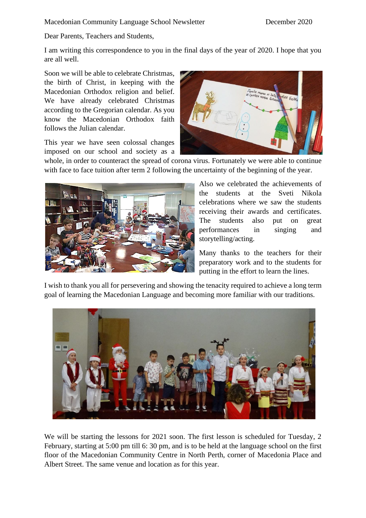Dear Parents, Teachers and Students,

I am writing this correspondence to you in the final days of the year of 2020. I hope that you are all well.

Soon we will be able to celebrate Christmas, the birth of Christ, in keeping with the Macedonian Orthodox religion and belief. We have already celebrated Christmas according to the Gregorian calendar. As you know the Macedonian Orthodox faith follows the Julian calendar.

This year we have seen colossal changes imposed on our school and society as a



whole, in order to counteract the spread of corona virus. Fortunately we were able to continue with face to face tuition after term 2 following the uncertainty of the beginning of the year.



Also we celebrated the achievements of the students at the Sveti Nikola celebrations where we saw the students receiving their awards and certificates. The students also put on great performances in singing and storytelling/acting.

Many thanks to the teachers for their preparatory work and to the students for putting in the effort to learn the lines.

I wish to thank you all for persevering and showing the tenacity required to achieve a long term goal of learning the Macedonian Language and becoming more familiar with our traditions.



We will be starting the lessons for 2021 soon. The first lesson is scheduled for Tuesday, 2 February, starting at 5:00 pm till 6: 30 pm, and is to be held at the language school on the first floor of the Macedonian Community Centre in North Perth, corner of Macedonia Place and Albert Street. The same venue and location as for this year.